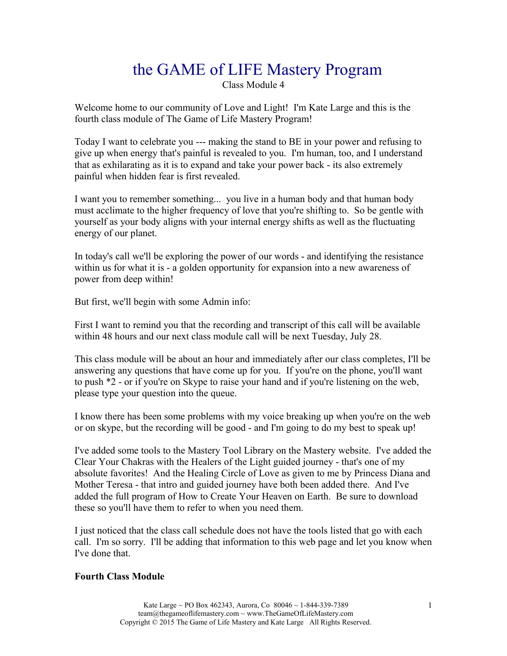# the GAME of LIFE Mastery Program Class Module 4

Welcome home to our community of Love and Light! I'm Kate Large and this is the fourth class module of The Game of Life Mastery Program!

Today I want to celebrate you --- making the stand to BE in your power and refusing to give up when energy that's painful is revealed to you. I'm human, too, and I understand that as exhilarating as it is to expand and take your power back - its also extremely painful when hidden fear is first revealed.

I want you to remember something... you live in a human body and that human body must acclimate to the higher frequency of love that you're shifting to. So be gentle with yourself as your body aligns with your internal energy shifts as well as the fluctuating energy of our planet.

In today's call we'll be exploring the power of our words - and identifying the resistance within us for what it is - a golden opportunity for expansion into a new awareness of power from deep within!

But first, we'll begin with some Admin info:

First I want to remind you that the recording and transcript of this call will be available within 48 hours and our next class module call will be next Tuesday, July 28.

This class module will be about an hour and immediately after our class completes, I'll be answering any questions that have come up for you. If you're on the phone, you'll want to push \*2 - or if you're on Skype to raise your hand and if you're listening on the web, please type your question into the queue.

I know there has been some problems with my voice breaking up when you're on the web or on skype, but the recording will be good - and I'm going to do my best to speak up!

I've added some tools to the Mastery Tool Library on the Mastery website. I've added the Clear Your Chakras with the Healers of the Light guided journey - that's one of my absolute favorites! And the Healing Circle of Love as given to me by Princess Diana and Mother Teresa - that intro and guided journey have both been added there. And I've added the full program of How to Create Your Heaven on Earth. Be sure to download these so you'll have them to refer to when you need them.

I just noticed that the class call schedule does not have the tools listed that go with each call. I'm so sorry. I'll be adding that information to this web page and let you know when I've done that.

#### **Fourth Class Module**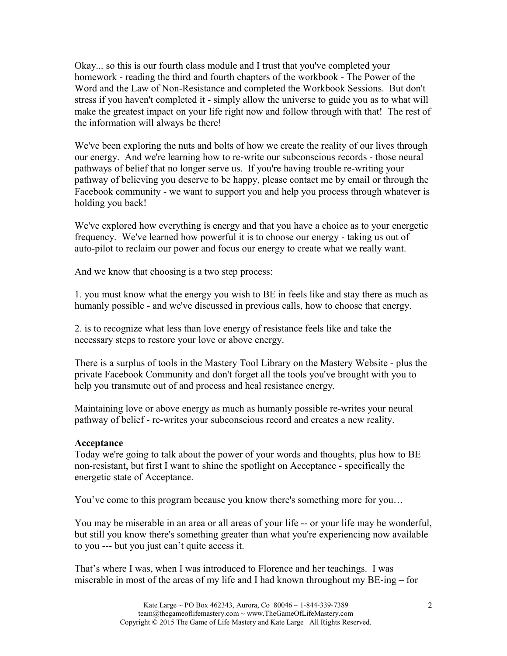Okay... so this is our fourth class module and I trust that you've completed your homework - reading the third and fourth chapters of the workbook - The Power of the Word and the Law of Non-Resistance and completed the Workbook Sessions. But don't stress if you haven't completed it - simply allow the universe to guide you as to what will make the greatest impact on your life right now and follow through with that! The rest of the information will always be there!

We've been exploring the nuts and bolts of how we create the reality of our lives through our energy. And we're learning how to re-write our subconscious records - those neural pathways of belief that no longer serve us. If you're having trouble re-writing your pathway of believing you deserve to be happy, please contact me by email or through the Facebook community - we want to support you and help you process through whatever is holding you back!

We've explored how everything is energy and that you have a choice as to your energetic frequency. We've learned how powerful it is to choose our energy - taking us out of auto-pilot to reclaim our power and focus our energy to create what we really want.

And we know that choosing is a two step process:

1. you must know what the energy you wish to BE in feels like and stay there as much as humanly possible - and we've discussed in previous calls, how to choose that energy.

2. is to recognize what less than love energy of resistance feels like and take the necessary steps to restore your love or above energy.

There is a surplus of tools in the Mastery Tool Library on the Mastery Website - plus the private Facebook Community and don't forget all the tools you've brought with you to help you transmute out of and process and heal resistance energy.

Maintaining love or above energy as much as humanly possible re-writes your neural pathway of belief - re-writes your subconscious record and creates a new reality.

#### **Acceptance**

Today we're going to talk about the power of your words and thoughts, plus how to BE non-resistant, but first I want to shine the spotlight on Acceptance - specifically the energetic state of Acceptance.

You've come to this program because you know there's something more for you…

You may be miserable in an area or all areas of your life -- or your life may be wonderful, but still you know there's something greater than what you're experiencing now available to you --- but you just can't quite access it.

That's where I was, when I was introduced to Florence and her teachings. I was miserable in most of the areas of my life and I had known throughout my BE-ing – for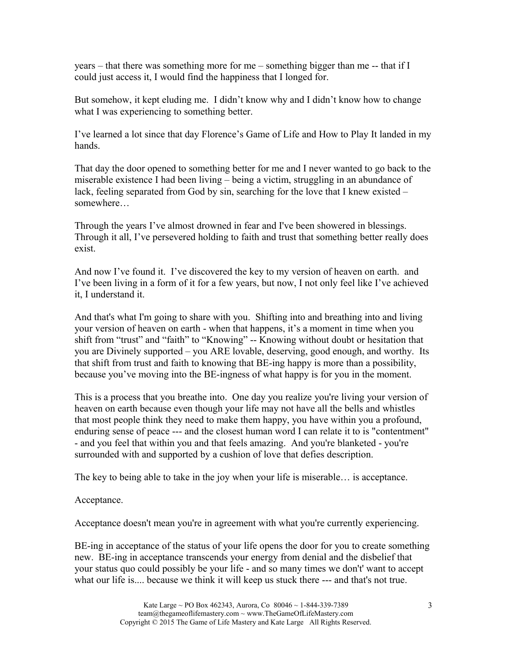years – that there was something more for me – something bigger than me -- that if I could just access it, I would find the happiness that I longed for.

But somehow, it kept eluding me. I didn't know why and I didn't know how to change what I was experiencing to something better.

I've learned a lot since that day Florence's Game of Life and How to Play It landed in my hands.

That day the door opened to something better for me and I never wanted to go back to the miserable existence I had been living – being a victim, struggling in an abundance of lack, feeling separated from God by sin, searching for the love that I knew existed – somewhere…

Through the years I've almost drowned in fear and I've been showered in blessings. Through it all, I've persevered holding to faith and trust that something better really does exist.

And now I've found it. I've discovered the key to my version of heaven on earth. and I've been living in a form of it for a few years, but now, I not only feel like I've achieved it, I understand it.

And that's what I'm going to share with you. Shifting into and breathing into and living your version of heaven on earth - when that happens, it's a moment in time when you shift from "trust" and "faith" to "Knowing" -- Knowing without doubt or hesitation that you are Divinely supported – you ARE lovable, deserving, good enough, and worthy. Its that shift from trust and faith to knowing that BE-ing happy is more than a possibility, because you've moving into the BE-ingness of what happy is for you in the moment.

This is a process that you breathe into. One day you realize you're living your version of heaven on earth because even though your life may not have all the bells and whistles that most people think they need to make them happy, you have within you a profound, enduring sense of peace --- and the closest human word I can relate it to is "contentment" - and you feel that within you and that feels amazing. And you're blanketed - you're surrounded with and supported by a cushion of love that defies description.

The key to being able to take in the joy when your life is miserable… is acceptance.

Acceptance.

Acceptance doesn't mean you're in agreement with what you're currently experiencing.

BE-ing in acceptance of the status of your life opens the door for you to create something new. BE-ing in acceptance transcends your energy from denial and the disbelief that your status quo could possibly be your life - and so many times we don't' want to accept what our life is.... because we think it will keep us stuck there --- and that's not true.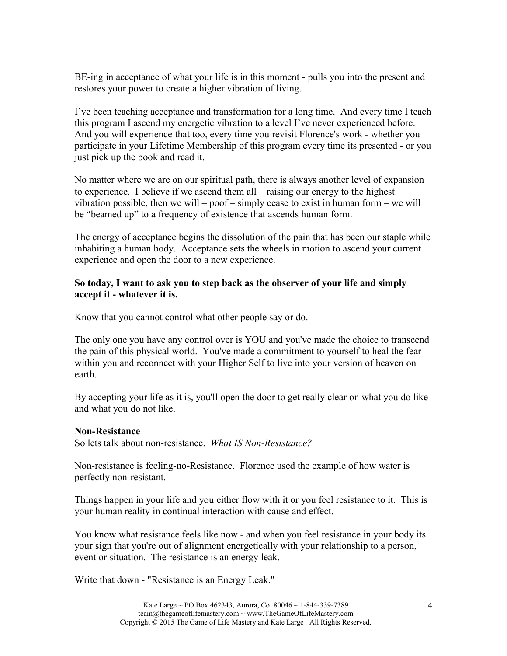BE-ing in acceptance of what your life is in this moment - pulls you into the present and restores your power to create a higher vibration of living.

I've been teaching acceptance and transformation for a long time. And every time I teach this program I ascend my energetic vibration to a level I've never experienced before. And you will experience that too, every time you revisit Florence's work - whether you participate in your Lifetime Membership of this program every time its presented - or you just pick up the book and read it.

No matter where we are on our spiritual path, there is always another level of expansion to experience. I believe if we ascend them all – raising our energy to the highest vibration possible, then we will – poof – simply cease to exist in human form – we will be "beamed up" to a frequency of existence that ascends human form.

The energy of acceptance begins the dissolution of the pain that has been our staple while inhabiting a human body. Acceptance sets the wheels in motion to ascend your current experience and open the door to a new experience.

## **So today, I want to ask you to step back as the observer of your life and simply accept it - whatever it is.**

Know that you cannot control what other people say or do.

The only one you have any control over is YOU and you've made the choice to transcend the pain of this physical world. You've made a commitment to yourself to heal the fear within you and reconnect with your Higher Self to live into your version of heaven on earth.

By accepting your life as it is, you'll open the door to get really clear on what you do like and what you do not like.

## **Non-Resistance**

So lets talk about non-resistance. *What IS Non-Resistance?* 

Non-resistance is feeling-no-Resistance. Florence used the example of how water is perfectly non-resistant.

Things happen in your life and you either flow with it or you feel resistance to it. This is your human reality in continual interaction with cause and effect.

You know what resistance feels like now - and when you feel resistance in your body its your sign that you're out of alignment energetically with your relationship to a person, event or situation. The resistance is an energy leak.

Write that down - "Resistance is an Energy Leak."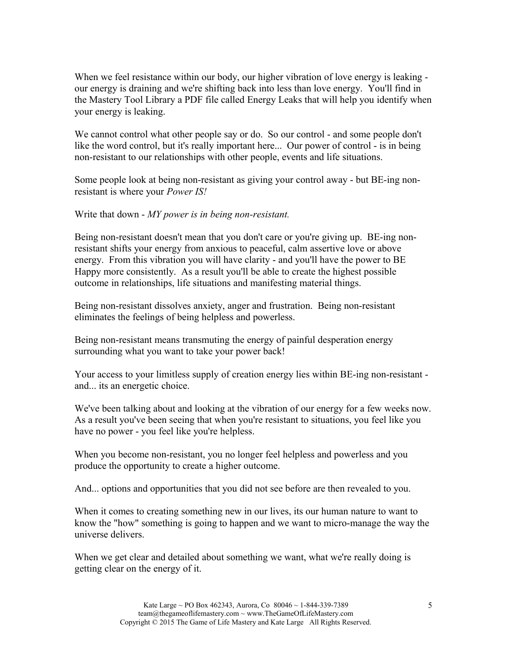When we feel resistance within our body, our higher vibration of love energy is leaking our energy is draining and we're shifting back into less than love energy. You'll find in the Mastery Tool Library a PDF file called Energy Leaks that will help you identify when your energy is leaking.

We cannot control what other people say or do. So our control - and some people don't like the word control, but it's really important here... Our power of control - is in being non-resistant to our relationships with other people, events and life situations.

Some people look at being non-resistant as giving your control away - but BE-ing nonresistant is where your *Power IS!*

Write that down - *MY power is in being non-resistant.*

Being non-resistant doesn't mean that you don't care or you're giving up. BE-ing nonresistant shifts your energy from anxious to peaceful, calm assertive love or above energy. From this vibration you will have clarity - and you'll have the power to BE Happy more consistently. As a result you'll be able to create the highest possible outcome in relationships, life situations and manifesting material things.

Being non-resistant dissolves anxiety, anger and frustration. Being non-resistant eliminates the feelings of being helpless and powerless.

Being non-resistant means transmuting the energy of painful desperation energy surrounding what you want to take your power back!

Your access to your limitless supply of creation energy lies within BE-ing non-resistant and... its an energetic choice.

We've been talking about and looking at the vibration of our energy for a few weeks now. As a result you've been seeing that when you're resistant to situations, you feel like you have no power - you feel like you're helpless.

When you become non-resistant, you no longer feel helpless and powerless and you produce the opportunity to create a higher outcome.

And... options and opportunities that you did not see before are then revealed to you.

When it comes to creating something new in our lives, its our human nature to want to know the "how" something is going to happen and we want to micro-manage the way the universe delivers.

When we get clear and detailed about something we want, what we're really doing is getting clear on the energy of it.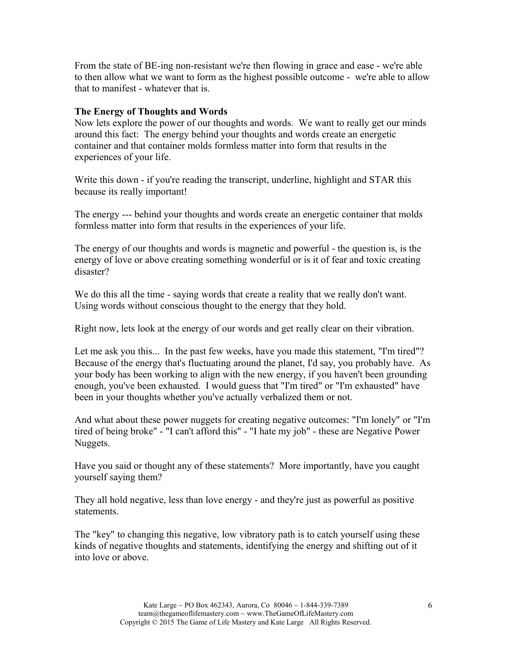From the state of BE-ing non-resistant we're then flowing in grace and ease - we're able to then allow what we want to form as the highest possible outcome - we're able to allow that to manifest - whatever that is.

#### **The Energy of Thoughts and Words**

Now lets explore the power of our thoughts and words. We want to really get our minds around this fact: The energy behind your thoughts and words create an energetic container and that container molds formless matter into form that results in the experiences of your life.

Write this down - if you're reading the transcript, underline, highlight and STAR this because its really important!

The energy --- behind your thoughts and words create an energetic container that molds formless matter into form that results in the experiences of your life.

The energy of our thoughts and words is magnetic and powerful - the question is, is the energy of love or above creating something wonderful or is it of fear and toxic creating disaster?

We do this all the time - saying words that create a reality that we really don't want. Using words without conscious thought to the energy that they hold.

Right now, lets look at the energy of our words and get really clear on their vibration.

Let me ask you this... In the past few weeks, have you made this statement, "I'm tired"? Because of the energy that's fluctuating around the planet, I'd say, you probably have. As your body has been working to align with the new energy, if you haven't been grounding enough, you've been exhausted. I would guess that "I'm tired" or "I'm exhausted" have been in your thoughts whether you've actually verbalized them or not.

And what about these power nuggets for creating negative outcomes: "I'm lonely" or "I'm tired of being broke" - "I can't afford this" - "I hate my job" - these are Negative Power Nuggets.

Have you said or thought any of these statements? More importantly, have you caught yourself saying them?

They all hold negative, less than love energy - and they're just as powerful as positive statements.

The "key" to changing this negative, low vibratory path is to catch yourself using these kinds of negative thoughts and statements, identifying the energy and shifting out of it into love or above.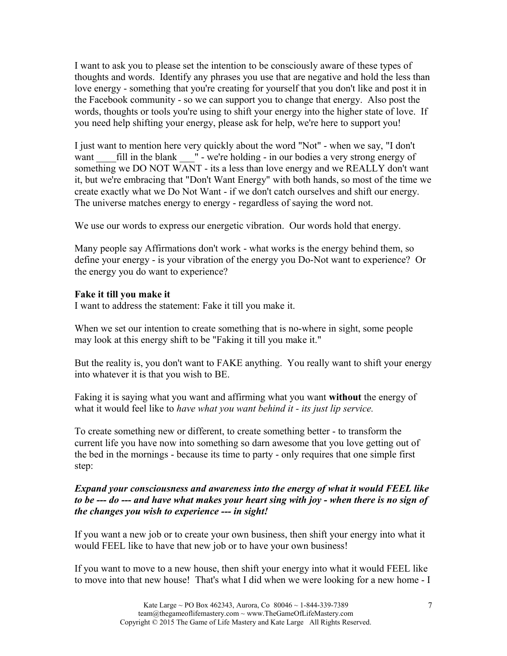I want to ask you to please set the intention to be consciously aware of these types of thoughts and words. Identify any phrases you use that are negative and hold the less than love energy - something that you're creating for yourself that you don't like and post it in the Facebook community - so we can support you to change that energy. Also post the words, thoughts or tools you're using to shift your energy into the higher state of love. If you need help shifting your energy, please ask for help, we're here to support you!

I just want to mention here very quickly about the word "Not" - when we say, "I don't want fill in the blank  $\blacksquare$  - we're holding - in our bodies a very strong energy of something we DO NOT WANT - its a less than love energy and we REALLY don't want it, but we're embracing that "Don't Want Energy" with both hands, so most of the time we create exactly what we Do Not Want - if we don't catch ourselves and shift our energy. The universe matches energy to energy - regardless of saying the word not.

We use our words to express our energetic vibration. Our words hold that energy.

Many people say Affirmations don't work - what works is the energy behind them, so define your energy - is your vibration of the energy you Do-Not want to experience? Or the energy you do want to experience?

## **Fake it till you make it**

I want to address the statement: Fake it till you make it.

When we set our intention to create something that is no-where in sight, some people may look at this energy shift to be "Faking it till you make it."

But the reality is, you don't want to FAKE anything. You really want to shift your energy into whatever it is that you wish to BE.

Faking it is saying what you want and affirming what you want **without** the energy of what it would feel like to *have what you want behind it - its just lip service.*

To create something new or different, to create something better - to transform the current life you have now into something so darn awesome that you love getting out of the bed in the mornings - because its time to party - only requires that one simple first step:

## *Expand your consciousness and awareness into the energy of what it would FEEL like to be --- do --- and have what makes your heart sing with joy - when there is no sign of the changes you wish to experience --- in sight!*

If you want a new job or to create your own business, then shift your energy into what it would FEEL like to have that new job or to have your own business!

If you want to move to a new house, then shift your energy into what it would FEEL like to move into that new house! That's what I did when we were looking for a new home - I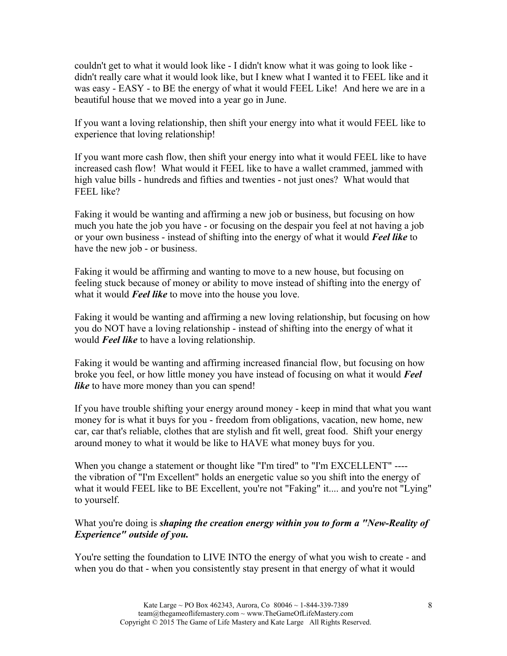couldn't get to what it would look like - I didn't know what it was going to look like didn't really care what it would look like, but I knew what I wanted it to FEEL like and it was easy - EASY - to BE the energy of what it would FEEL Like! And here we are in a beautiful house that we moved into a year go in June.

If you want a loving relationship, then shift your energy into what it would FEEL like to experience that loving relationship!

If you want more cash flow, then shift your energy into what it would FEEL like to have increased cash flow! What would it FEEL like to have a wallet crammed, jammed with high value bills - hundreds and fifties and twenties - not just ones? What would that FEEL like?

Faking it would be wanting and affirming a new job or business, but focusing on how much you hate the job you have - or focusing on the despair you feel at not having a job or your own business - instead of shifting into the energy of what it would *Feel like* to have the new job - or business.

Faking it would be affirming and wanting to move to a new house, but focusing on feeling stuck because of money or ability to move instead of shifting into the energy of what it would *Feel like* to move into the house you love.

Faking it would be wanting and affirming a new loving relationship, but focusing on how you do NOT have a loving relationship - instead of shifting into the energy of what it would *Feel like* to have a loving relationship.

Faking it would be wanting and affirming increased financial flow, but focusing on how broke you feel, or how little money you have instead of focusing on what it would *Feel like* to have more money than you can spend!

If you have trouble shifting your energy around money - keep in mind that what you want money for is what it buys for you - freedom from obligations, vacation, new home, new car, car that's reliable, clothes that are stylish and fit well, great food. Shift your energy around money to what it would be like to HAVE what money buys for you.

When you change a statement or thought like "I'm tired" to "I'm EXCELLENT" ---the vibration of "I'm Excellent" holds an energetic value so you shift into the energy of what it would FEEL like to BE Excellent, you're not "Faking" it.... and you're not "Lying" to yourself.

## What you're doing is *shaping the creation energy within you to form a "New-Reality of Experience" outside of you.*

You're setting the foundation to LIVE INTO the energy of what you wish to create - and when you do that - when you consistently stay present in that energy of what it would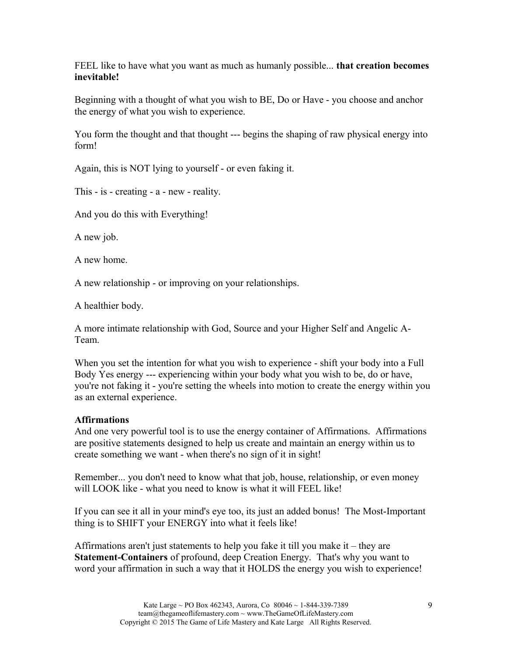FEEL like to have what you want as much as humanly possible... **that creation becomes inevitable!**

Beginning with a thought of what you wish to BE, Do or Have - you choose and anchor the energy of what you wish to experience.

You form the thought and that thought --- begins the shaping of raw physical energy into form!

Again, this is NOT lying to yourself - or even faking it.

This - is - creating - a - new - reality.

And you do this with Everything!

A new job.

A new home.

A new relationship - or improving on your relationships.

A healthier body.

A more intimate relationship with God, Source and your Higher Self and Angelic A-Team.

When you set the intention for what you wish to experience - shift your body into a Full Body Yes energy --- experiencing within your body what you wish to be, do or have, you're not faking it - you're setting the wheels into motion to create the energy within you as an external experience.

# **Affirmations**

And one very powerful tool is to use the energy container of Affirmations. Affirmations are positive statements designed to help us create and maintain an energy within us to create something we want - when there's no sign of it in sight!

Remember... you don't need to know what that job, house, relationship, or even money will LOOK like - what you need to know is what it will FEEL like!

If you can see it all in your mind's eye too, its just an added bonus! The Most-Important thing is to SHIFT your ENERGY into what it feels like!

Affirmations aren't just statements to help you fake it till you make it – they are **Statement-Containers** of profound, deep Creation Energy. That's why you want to word your affirmation in such a way that it HOLDS the energy you wish to experience!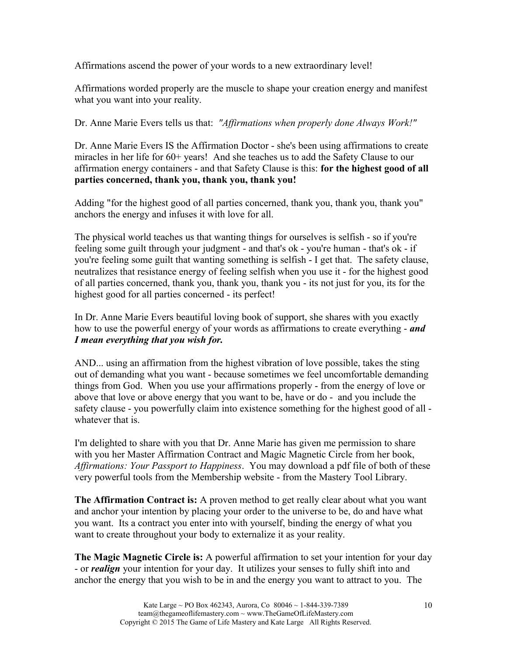Affirmations ascend the power of your words to a new extraordinary level!

Affirmations worded properly are the muscle to shape your creation energy and manifest what you want into your reality.

Dr. Anne Marie Evers tells us that: *"Affirmations when properly done Always Work!"*

Dr. Anne Marie Evers IS the Affirmation Doctor - she's been using affirmations to create miracles in her life for 60+ years! And she teaches us to add the Safety Clause to our affirmation energy containers - and that Safety Clause is this: **for the highest good of all parties concerned, thank you, thank you, thank you!**

Adding "for the highest good of all parties concerned, thank you, thank you, thank you" anchors the energy and infuses it with love for all.

The physical world teaches us that wanting things for ourselves is selfish - so if you're feeling some guilt through your judgment - and that's ok - you're human - that's ok - if you're feeling some guilt that wanting something is selfish - I get that. The safety clause, neutralizes that resistance energy of feeling selfish when you use it - for the highest good of all parties concerned, thank you, thank you, thank you - its not just for you, its for the highest good for all parties concerned - its perfect!

In Dr. Anne Marie Evers beautiful loving book of support, she shares with you exactly how to use the powerful energy of your words as affirmations to create everything - *and I mean everything that you wish for.*

AND... using an affirmation from the highest vibration of love possible, takes the sting out of demanding what you want - because sometimes we feel uncomfortable demanding things from God. When you use your affirmations properly - from the energy of love or above that love or above energy that you want to be, have or do - and you include the safety clause - you powerfully claim into existence something for the highest good of all whatever that is.

I'm delighted to share with you that Dr. Anne Marie has given me permission to share with you her Master Affirmation Contract and Magic Magnetic Circle from her book, *Affirmations: Your Passport to Happiness*. You may download a pdf file of both of these very powerful tools from the Membership website - from the Mastery Tool Library.

**The Affirmation Contract is:** A proven method to get really clear about what you want and anchor your intention by placing your order to the universe to be, do and have what you want. Its a contract you enter into with yourself, binding the energy of what you want to create throughout your body to externalize it as your reality.

**The Magic Magnetic Circle is:** A powerful affirmation to set your intention for your day - or *realign* your intention for your day. It utilizes your senses to fully shift into and anchor the energy that you wish to be in and the energy you want to attract to you. The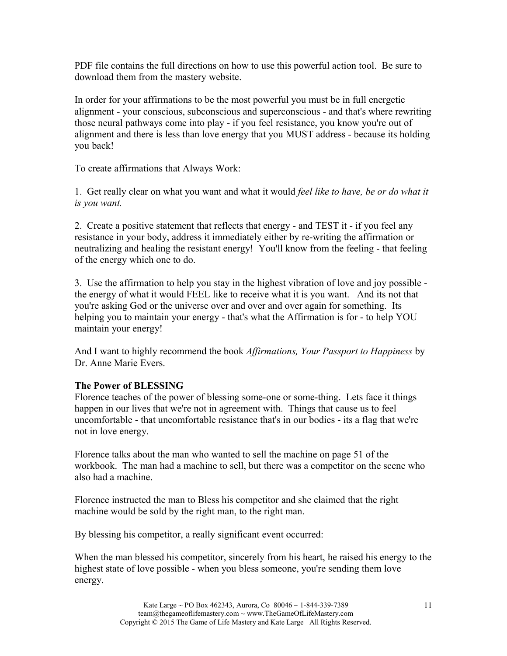PDF file contains the full directions on how to use this powerful action tool. Be sure to download them from the mastery website.

In order for your affirmations to be the most powerful you must be in full energetic alignment - your conscious, subconscious and superconscious - and that's where rewriting those neural pathways come into play - if you feel resistance, you know you're out of alignment and there is less than love energy that you MUST address - because its holding you back!

To create affirmations that Always Work:

1. Get really clear on what you want and what it would *feel like to have, be or do what it is you want.*

2. Create a positive statement that reflects that energy - and TEST it - if you feel any resistance in your body, address it immediately either by re-writing the affirmation or neutralizing and healing the resistant energy! You'll know from the feeling - that feeling of the energy which one to do.

3. Use the affirmation to help you stay in the highest vibration of love and joy possible the energy of what it would FEEL like to receive what it is you want. And its not that you're asking God or the universe over and over and over again for something. Its helping you to maintain your energy - that's what the Affirmation is for - to help YOU maintain your energy!

And I want to highly recommend the book *Affirmations, Your Passport to Happiness* by Dr. Anne Marie Evers.

# **The Power of BLESSING**

Florence teaches of the power of blessing some-one or some-thing. Lets face it things happen in our lives that we're not in agreement with. Things that cause us to feel uncomfortable - that uncomfortable resistance that's in our bodies - its a flag that we're not in love energy.

Florence talks about the man who wanted to sell the machine on page 51 of the workbook. The man had a machine to sell, but there was a competitor on the scene who also had a machine.

Florence instructed the man to Bless his competitor and she claimed that the right machine would be sold by the right man, to the right man.

By blessing his competitor, a really significant event occurred:

When the man blessed his competitor, sincerely from his heart, he raised his energy to the highest state of love possible - when you bless someone, you're sending them love energy.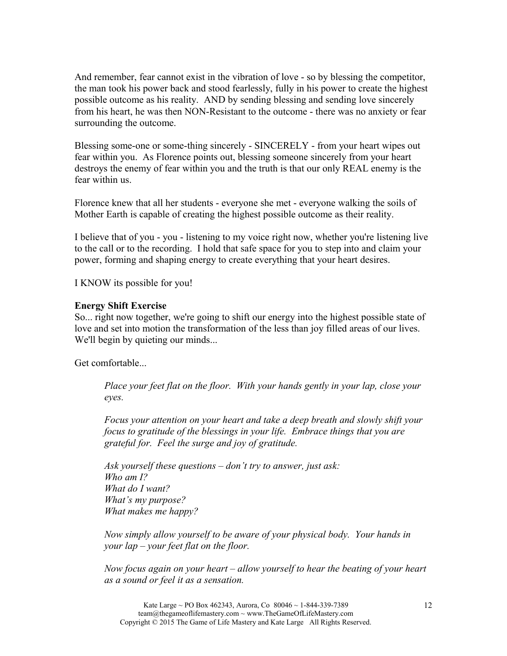And remember, fear cannot exist in the vibration of love - so by blessing the competitor, the man took his power back and stood fearlessly, fully in his power to create the highest possible outcome as his reality. AND by sending blessing and sending love sincerely from his heart, he was then NON-Resistant to the outcome - there was no anxiety or fear surrounding the outcome.

Blessing some-one or some-thing sincerely - SINCERELY - from your heart wipes out fear within you. As Florence points out, blessing someone sincerely from your heart destroys the enemy of fear within you and the truth is that our only REAL enemy is the fear within us.

Florence knew that all her students - everyone she met - everyone walking the soils of Mother Earth is capable of creating the highest possible outcome as their reality.

I believe that of you - you - listening to my voice right now, whether you're listening live to the call or to the recording. I hold that safe space for you to step into and claim your power, forming and shaping energy to create everything that your heart desires.

I KNOW its possible for you!

#### **Energy Shift Exercise**

So... right now together, we're going to shift our energy into the highest possible state of love and set into motion the transformation of the less than joy filled areas of our lives. We'll begin by quieting our minds...

Get comfortable...

*Place your feet flat on the floor. With your hands gently in your lap, close your eyes.*

*Focus your attention on your heart and take a deep breath and slowly shift your focus to gratitude of the blessings in your life. Embrace things that you are grateful for. Feel the surge and joy of gratitude.* 

*Ask yourself these questions – don't try to answer, just ask: Who am I? What do I want? What's my purpose? What makes me happy?*

*Now simply allow yourself to be aware of your physical body. Your hands in your lap – your feet flat on the floor.*

*Now focus again on your heart – allow yourself to hear the beating of your heart as a sound or feel it as a sensation.*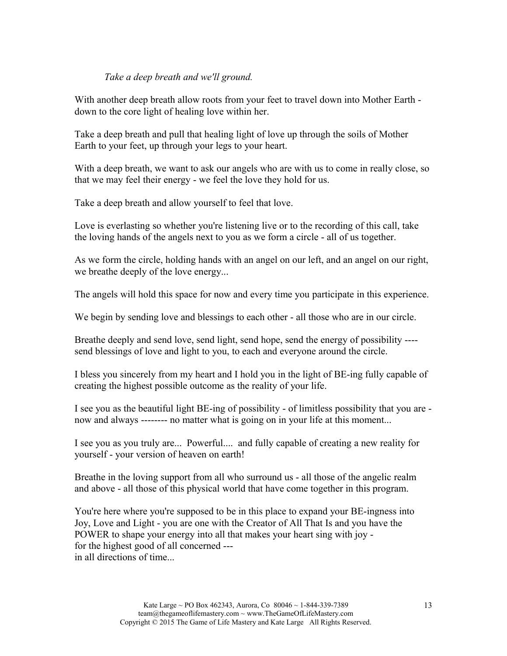#### *Take a deep breath and we'll ground.*

With another deep breath allow roots from your feet to travel down into Mother Earth down to the core light of healing love within her.

Take a deep breath and pull that healing light of love up through the soils of Mother Earth to your feet, up through your legs to your heart.

With a deep breath, we want to ask our angels who are with us to come in really close, so that we may feel their energy - we feel the love they hold for us.

Take a deep breath and allow yourself to feel that love.

Love is everlasting so whether you're listening live or to the recording of this call, take the loving hands of the angels next to you as we form a circle - all of us together.

As we form the circle, holding hands with an angel on our left, and an angel on our right, we breathe deeply of the love energy...

The angels will hold this space for now and every time you participate in this experience.

We begin by sending love and blessings to each other - all those who are in our circle.

Breathe deeply and send love, send light, send hope, send the energy of possibility --- send blessings of love and light to you, to each and everyone around the circle.

I bless you sincerely from my heart and I hold you in the light of BE-ing fully capable of creating the highest possible outcome as the reality of your life.

I see you as the beautiful light BE-ing of possibility - of limitless possibility that you are now and always -------- no matter what is going on in your life at this moment...

I see you as you truly are... Powerful.... and fully capable of creating a new reality for yourself - your version of heaven on earth!

Breathe in the loving support from all who surround us - all those of the angelic realm and above - all those of this physical world that have come together in this program.

You're here where you're supposed to be in this place to expand your BE-ingness into Joy, Love and Light - you are one with the Creator of All That Is and you have the POWER to shape your energy into all that makes your heart sing with joy for the highest good of all concerned -- in all directions of time...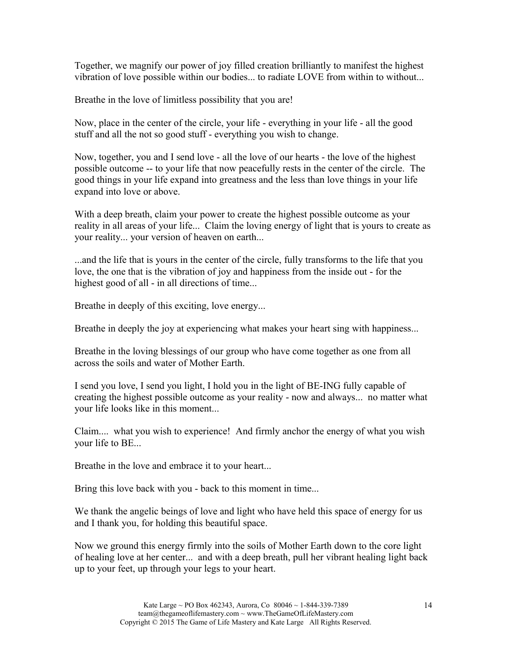Together, we magnify our power of joy filled creation brilliantly to manifest the highest vibration of love possible within our bodies... to radiate LOVE from within to without...

Breathe in the love of limitless possibility that you are!

Now, place in the center of the circle, your life - everything in your life - all the good stuff and all the not so good stuff - everything you wish to change.

Now, together, you and I send love - all the love of our hearts - the love of the highest possible outcome -- to your life that now peacefully rests in the center of the circle. The good things in your life expand into greatness and the less than love things in your life expand into love or above.

With a deep breath, claim your power to create the highest possible outcome as your reality in all areas of your life... Claim the loving energy of light that is yours to create as your reality... your version of heaven on earth...

...and the life that is yours in the center of the circle, fully transforms to the life that you love, the one that is the vibration of joy and happiness from the inside out - for the highest good of all - in all directions of time...

Breathe in deeply of this exciting, love energy...

Breathe in deeply the joy at experiencing what makes your heart sing with happiness...

Breathe in the loving blessings of our group who have come together as one from all across the soils and water of Mother Earth.

I send you love, I send you light, I hold you in the light of BE-ING fully capable of creating the highest possible outcome as your reality - now and always... no matter what your life looks like in this moment...

Claim.... what you wish to experience! And firmly anchor the energy of what you wish your life to BE...

Breathe in the love and embrace it to your heart...

Bring this love back with you - back to this moment in time...

We thank the angelic beings of love and light who have held this space of energy for us and I thank you, for holding this beautiful space.

Now we ground this energy firmly into the soils of Mother Earth down to the core light of healing love at her center... and with a deep breath, pull her vibrant healing light back up to your feet, up through your legs to your heart.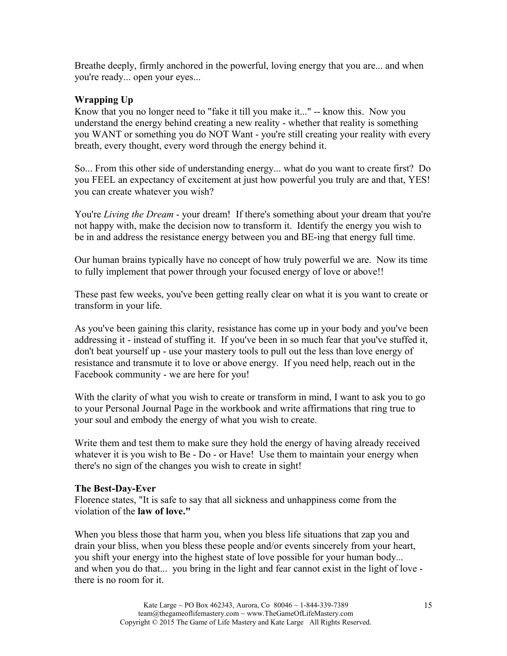Breathe deeply, firmly anchored in the powerful, loving energy that you are... and when you're ready... open your eyes...

## **Wrapping Up**

Know that you no longer need to "fake it till you make it..." -- know this. Now you understand the energy behind creating a new reality - whether that reality is something you WANT or something you do NOT Want - you're still creating your reality with every breath, every thought, every word through the energy behind it.

So... From this other side of understanding energy... what do you want to create first? Do you FEEL an expectancy of excitement at just how powerful you truly are and that, YES! you can create whatever you wish?

You're *Living the Dream* - your dream! If there's something about your dream that you're not happy with, make the decision now to transform it. Identify the energy you wish to be in and address the resistance energy between you and BE-ing that energy full time.

Our human brains typically have no concept of how truly powerful we are. Now its time to fully implement that power through your focused energy of love or above!!

These past few weeks, you've been getting really clear on what it is you want to create or transform in your life.

As you've been gaining this clarity, resistance has come up in your body and you've been addressing it - instead of stuffing it. If you've been in so much fear that you've stuffed it, don't beat yourself up - use your mastery tools to pull out the less than love energy of resistance and transmute it to love or above energy. If you need help, reach out in the Facebook community - we are here for you!

With the clarity of what you wish to create or transform in mind, I want to ask you to go to your Personal Journal Page in the workbook and write affirmations that ring true to your soul and embody the energy of what you wish to create.

Write them and test them to make sure they hold the energy of having already received whatever it is you wish to Be - Do - or Have! Use them to maintain your energy when there's no sign of the changes you wish to create in sight!

## **The Best-Day-Ever**

Florence states, "It is safe to say that all sickness and unhappiness come from the violation of the **law of love."**

When you bless those that harm you, when you bless life situations that zap you and drain your bliss, when you bless these people and/or events sincerely from your heart, you shift your energy into the highest state of love possible for your human body... and when you do that... you bring in the light and fear cannot exist in the light of love there is no room for it.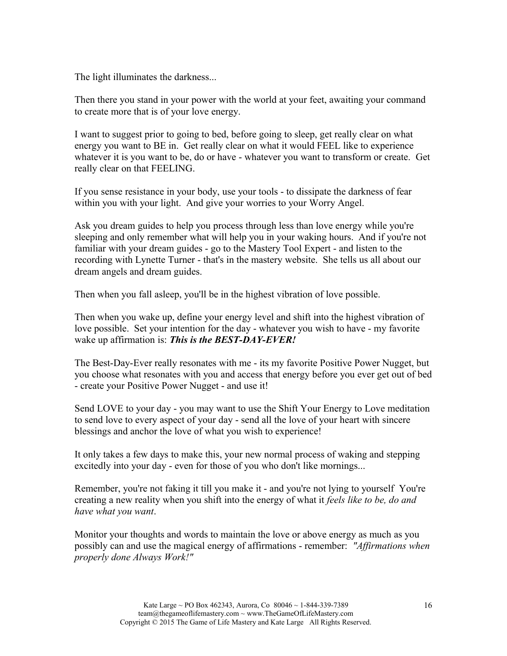The light illuminates the darkness...

Then there you stand in your power with the world at your feet, awaiting your command to create more that is of your love energy.

I want to suggest prior to going to bed, before going to sleep, get really clear on what energy you want to BE in. Get really clear on what it would FEEL like to experience whatever it is you want to be, do or have - whatever you want to transform or create. Get really clear on that FEELING.

If you sense resistance in your body, use your tools - to dissipate the darkness of fear within you with your light. And give your worries to your Worry Angel.

Ask you dream guides to help you process through less than love energy while you're sleeping and only remember what will help you in your waking hours. And if you're not familiar with your dream guides - go to the Mastery Tool Expert - and listen to the recording with Lynette Turner - that's in the mastery website. She tells us all about our dream angels and dream guides.

Then when you fall asleep, you'll be in the highest vibration of love possible.

Then when you wake up, define your energy level and shift into the highest vibration of love possible. Set your intention for the day - whatever you wish to have - my favorite wake up affirmation is: *This is the BEST-DAY-EVER!* 

The Best-Day-Ever really resonates with me - its my favorite Positive Power Nugget, but you choose what resonates with you and access that energy before you ever get out of bed - create your Positive Power Nugget - and use it!

Send LOVE to your day - you may want to use the Shift Your Energy to Love meditation to send love to every aspect of your day - send all the love of your heart with sincere blessings and anchor the love of what you wish to experience!

It only takes a few days to make this, your new normal process of waking and stepping excitedly into your day - even for those of you who don't like mornings...

Remember, you're not faking it till you make it - and you're not lying to yourself You're creating a new reality when you shift into the energy of what it *feels like to be, do and have what you want*.

Monitor your thoughts and words to maintain the love or above energy as much as you possibly can and use the magical energy of affirmations - remember: *"Affirmations when properly done Always Work!"*